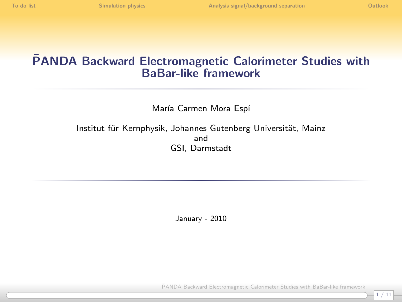## PANDA Backward Electromagnetic Calorimeter Studies with ¯ BaBar-like framework

María Carmen Mora Espí

Institut für Kernphysik, Johannes Gutenberg Universität, Mainz and GSI, Darmstadt

January - 2010

PANDA Backward Electromagnetic Calorimeter Studies with BaBar-like framework

1 / 11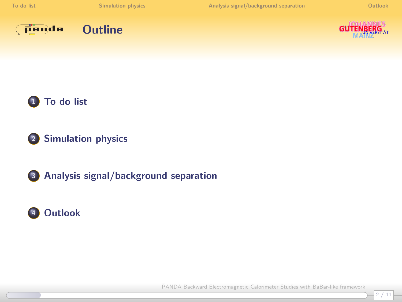









<sup>2</sup> [Simulation physics](#page-3-0)

<sup>3</sup> [Analysis signal/background separation](#page-7-0)

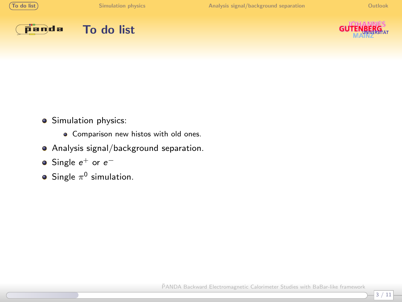





<span id="page-2-0"></span>

- **Simulation physics:** 
	- **•** Comparison new histos with old ones.
- Analysis signal/background separation.
- Single  $e^+$  or  $e^-$
- Single  $\pi^0$  simulation.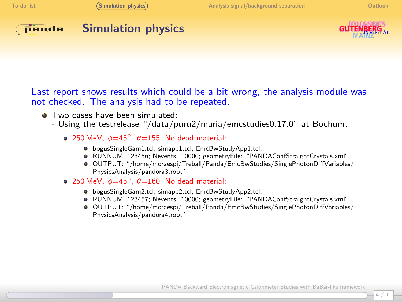

### Simulation physics

<span id="page-3-0"></span>

Last report shows results which could be a bit wrong, the analysis module was not checked. The analysis had to be repeated.

- **Two cases have been simulated:** 
	- Using the testrelease "/data/puru2/maria/emcstudies0.17.0" at Bochum.
		- 250 MeV,  $\phi=45^\circ$ ,  $\theta=155$ , No dead material:
			- bogusSingleGam1.tcl; simapp1.tcl; EmcBwStudyApp1.tcl.
			- RUNNUM: 123456; Nevents: 10000; geometryFile: "PANDAConfStraightCrystals.xml"
			- OUTPUT: "/home/moraespi/Treball/Panda/EmcBwStudies/SinglePhotonDiffVariables/ PhysicsAnalysis/pandora3.root"
		- 250 MeV,  $\phi=45^\circ$ ,  $\theta=160$ , No dead material:
			- bogusSingleGam2.tcl; simapp2.tcl; EmcBwStudyApp2.tcl.
			- RUNNUM: 123457; Nevents: 10000; geometryFile: "PANDAConfStraightCrystals.xml"
			- OUTPUT: "/home/moraespi/Treball/Panda/EmcBwStudies/SinglePhotonDiffVariables/ PhysicsAnalysis/pandora4.root"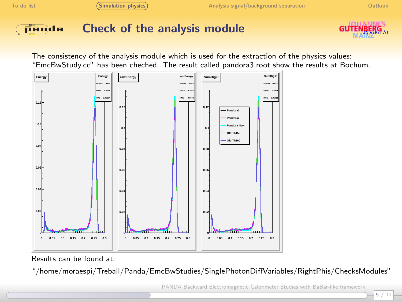

## Check of the analysis module



The consistency of the analysis module which is used for the extraction of the physics values: "EmcBwStudy.cc" has been cheched. The result called pandora3.root show the results at Bochum.



Results can be found at:

"/home/moraespi/Treball/Panda/EmcBwStudies/SinglePhotonDiffVariables/RightPhis/ChecksModules"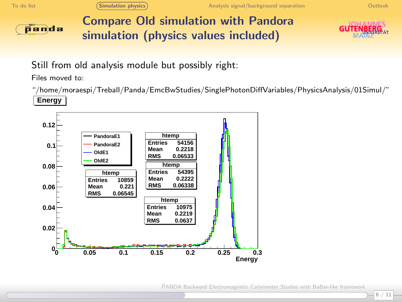

Compare Old simulation with Pandora simulation (physics values included)



Still from old analysis module but possibly right:

Files moved to:

"/home/moraespi/Treball/Panda/EmcBwStudies/SinglePhotonDiffVariables/PhysicsAnalysis/01Simul/" **Energy**

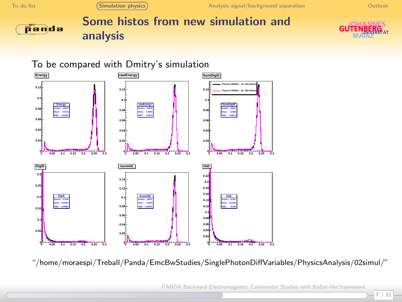

## Some histos from new simulation and analysis



#### To be compared with Dmitry's simulation



"/home/moraespi/Treball/Panda/EmcBwStudies/SinglePhotonDiffVariables/PhysicsAnalysis/02simul/"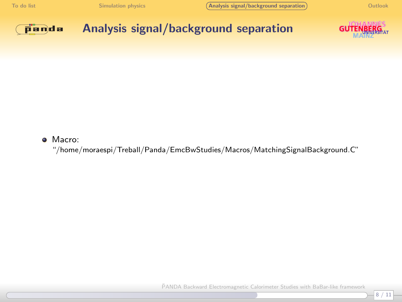[To do list](#page-2-0) [Simulation physics](#page-3-0) **[Analysis signal/background separation](#page-7-0)** (Analysis signal/background separation ) [Outlook](#page-10-0)

<span id="page-7-0"></span> $-8/11$ 



Analysis signal/background separation



#### **•** Macro:

"/home/moraespi/Treball/Panda/EmcBwStudies/Macros/MatchingSignalBackground.C"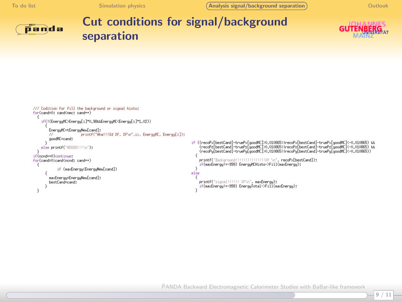[To do list](#page-2-0) [Simulation physics](#page-3-0) [Analysis signal/background separation](#page-7-0) Coutlook

9 / 11



# Cut conditions for signal/background separation



```
/// Codition for fill the background or signal histo:
for(cand=0; cand<nmc; cand++)
    if(!(EnergyMC>Energy[i]*0,98&&EnergyMC<Energy[i]*1,02))
         EnergyMC=tEnergyNewFoand1:
         ^{\prime\prime}printf("AhalliZd Zf. Zf\n".ii. EnerguMC. Energu[i]):
         goodMC=cand;
                                                                                               if ((recoPx[bestCand]-truePx[goodHC]>0.0108651 (recoPx[bestCand]-truePx[goodHC]<-0.010865) &&
    else printf("N0000!!\n");
                                                                                                    orecom/subsectional="align="align="align="align="align="align="align="align="align="align="align="align="align<br>- https://www.align="align="align="align="align="align="align="align="align="align="align="align="align="align
if(nond==0)continuet
                                                                                                    printf("Background!!!!!!!!!!!!!!!!!!!!! ?: \n", recoPx[bestCand]):
for(cand=0;cand<ncnd; cand++)
                                                                                                    if(naxEnergyl=-999) EnergyMCHisto->Eill(naxEnergy):
              if (naxEnerou<EnerouNew[cand])
                                                                                               else
         maxEnergy=EnergyNew[cand];
                                                                                                    printf("signal!!!!!! Zf\n", maxEnergy);
         bestCand=cand:
                                                                                                   if(maxEnergyl=-999) EnergyTotal->Fill(maxEnergy);
  n
```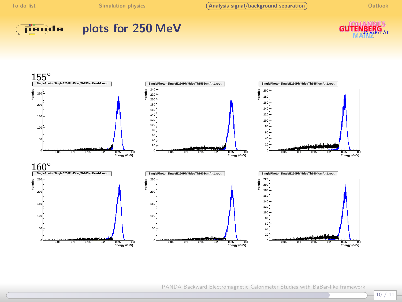[To do list](#page-2-0) [Simulation physics](#page-3-0) **[Analysis signal/background separation](#page-7-0)** [Outlook](#page-10-0)



### plots for 250 MeV